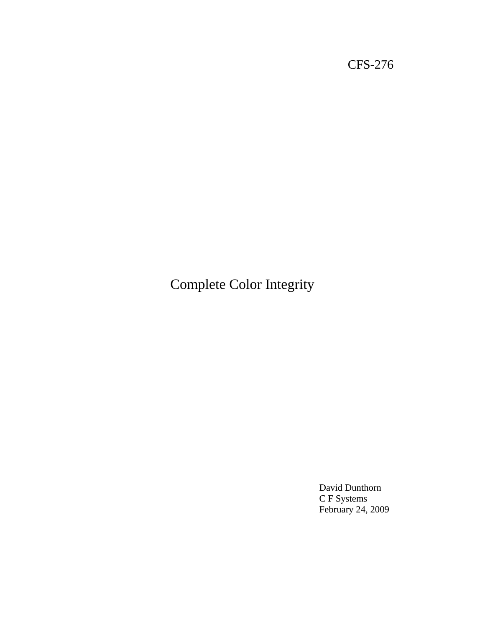CFS-276

Complete Color Integrity

David Dunthorn C F Systems February 24, 2009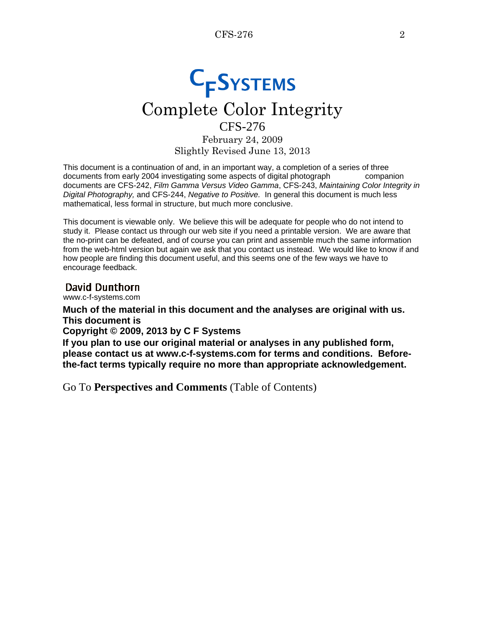# **C<sub>F</sub>SYSTEMS** Complete Color Integrity

CFS-276 February 24, 2009 Slightly Revised June 13, 2013

This document is a continuation of and, in an important way, a completion of a series of three documents from early 2004 investigating some aspects of digital photograph companion documents are CFS-242, *Film Gamma Versus Video Gamma*, CFS-243, *Maintaining Color Integrity in Digital Photography,* and CFS-244, *Negative to Positive.* In general this document is much less mathematical, less formal in structure, but much more conclusive.

This document is viewable only. We believe this will be adequate for people who do not intend to study it. Please contact us through our web site if you need a printable version. We are aware that the no-print can be defeated, and of course you can print and assemble much the same information from the web-html version but again we ask that you contact us instead. We would like to know if and how people are finding this document useful, and this seems one of the few ways we have to encourage feedback.

## David Dunthorn

www.c-f-systems.com

**Much of the material in this document and the analyses are original with us. This document is**

**Copyright © 2009, 2013 by C F Systems**

**If you plan to use our original material or analyses in any published form, please contact us at www.c-f-systems.com for terms and conditions. Beforethe-fact terms typically require no more than appropriate acknowledgement.**

Go To **[Perspectives and Comments](#page-6-0)** (Table of Contents)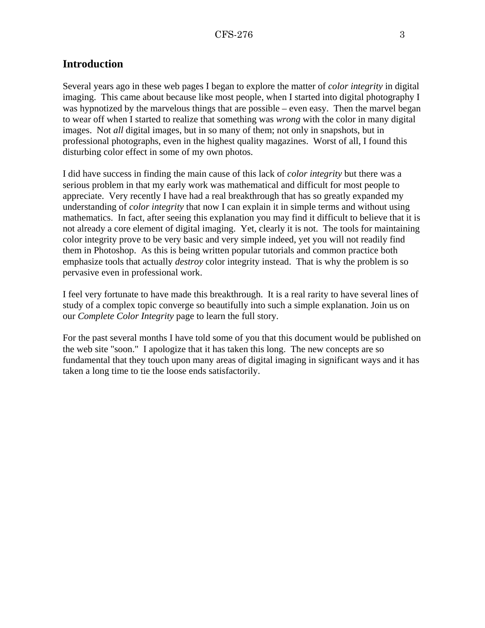## <span id="page-2-0"></span>**Introduction**

Several years ago in these web pages I began to explore the matter of *color integrity* in digital imaging. This came about because like most people, when I started into digital photography I was hypnotized by the marvelous things that are possible – even easy. Then the marvel began to wear off when I started to realize that something was *wrong* with the color in many digital images. Not *all* digital images, but in so many of them; not only in snapshots, but in professional photographs, even in the highest quality magazines. Worst of all, I found this disturbing color effect in some of my own photos.

I did have success in finding the main cause of this lack of *color integrity* but there was a serious problem in that my early work was mathematical and difficult for most people to appreciate. Very recently I have had a real breakthrough that has so greatly expanded my understanding of *color integrity* that now I can explain it in simple terms and without using mathematics. In fact, after seeing this explanation you may find it difficult to believe that it is not already a core element of digital imaging. Yet, clearly it is not. The tools for maintaining color integrity prove to be very basic and very simple indeed, yet you will not readily find them in Photoshop. As this is being written popular tutorials and common practice both emphasize tools that actually *destroy* color integrity instead. That is why the problem is so pervasive even in professional work.

I feel very fortunate to have made this breakthrough. It is a real rarity to have several lines of study of a complex topic converge so beautifully into such a simple explanation. Join us on our *[Complete Color Integrity](#page-3-0)* page to learn the full story.

For the past several months I have told some of you that this document would be published on the web site "soon." I apologize that it has taken this long. The new concepts are so fundamental that they touch upon many areas of digital imaging in significant ways and it has taken a long time to tie the loose ends satisfactorily.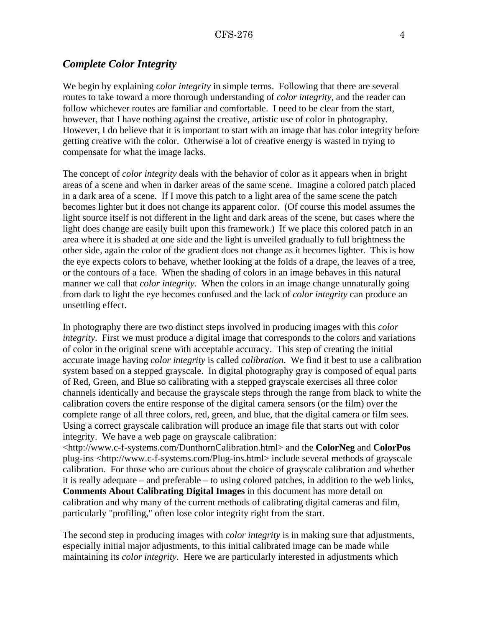## <span id="page-3-0"></span>*Complete Color Integrity*

We begin by explaining *color integrity* in simple terms. Following that there are several routes to take toward a more thorough understanding of *color integrity*, and the reader can follow whichever routes are familiar and comfortable. I need to be clear from the start, however, that I have nothing against the creative, artistic use of color in photography. However, I do believe that it is important to start with an image that has color integrity before getting creative with the color. Otherwise a lot of creative energy is wasted in trying to compensate for what the image lacks.

The concept of *color integrity* deals with the behavior of color as it appears when in bright areas of a scene and when in darker areas of the same scene. Imagine a colored patch placed in a dark area of a scene. If I move this patch to a light area of the same scene the patch becomes lighter but it does not change its apparent color. (Of course this model assumes the light source itself is not different in the light and dark areas of the scene, but cases where the light does change are easily built upon this framework.) If we place this colored patch in an area where it is shaded at one side and the light is unveiled gradually to full brightness the other side, again the color of the gradient does not change as it becomes lighter. This is how the eye expects colors to behave, whether looking at the folds of a drape, the leaves of a tree, or the contours of a face. When the shading of colors in an image behaves in this natural manner we call that *color integrity*. When the colors in an image change unnaturally going from dark to light the eye becomes confused and the lack of *color integrity* can produce an unsettling effect.

In photography there are two distinct steps involved in producing images with this *color integrity*. First we must produce a digital image that corresponds to the colors and variations of color in the original scene with acceptable accuracy. This step of creating the initial accurate image having *color integrity* is called *calibration*. We find it best to use a calibration system based on a stepped grayscale. In digital photography gray is composed of equal parts of Red, Green, and Blue so calibrating with a stepped grayscale exercises all three color channels identically and because the grayscale steps through the range from black to white the calibration covers the entire response of the digital camera sensors (or the film) over the complete range of all three colors, red, green, and blue, that the digital camera or film sees. Using a correct grayscale calibration will produce an image file that starts out with color integrity. We have a web page on grayscale calibration:

[<http://www.c-f-systems.com/DunthornCalibration.html> a](http://www.c-f-systems.com/DunthornCalibration.html)nd the **ColorNeg** and **ColorPos** plug-ins [<http://www.c-f-systems.com/Plug-ins.html> i](http://www.c-f-systems.com/Plug-ins.html)nclude several methods of grayscale calibration. For those who are curious about the choice of grayscale calibration and whether it is really adequate – and preferable – to using colored patches, in addition to the web links, **[Comments About Calibrating Digital Images](#page-23-0)** in this document has more detail on calibration and why many of the current methods of calibrating digital cameras and film, particularly "profiling," often lose color integrity right from the start.

The second step in producing images with *color integrity* is in making sure that adjustments, especially initial major adjustments, to this initial calibrated image can be made while maintaining its *color integrity*. Here we are particularly interested in adjustments which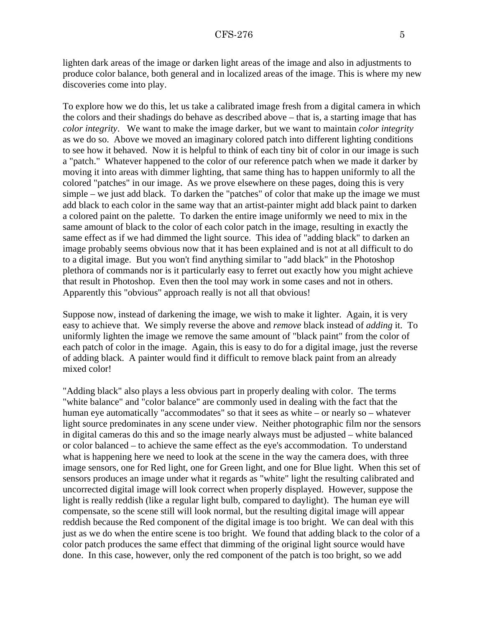lighten dark areas of the image or darken light areas of the image and also in adjustments to produce color balance, both general and in localized areas of the image. This is where my new discoveries come into play.

To explore how we do this, let us take a calibrated image fresh from a digital camera in which the colors and their shadings do behave as described above – that is, a starting image that has *color integrity*. We want to make the image darker, but we want to maintain *color integrity* as we do so. Above we moved an imaginary colored patch into different lighting conditions to see how it behaved. Now it is helpful to think of each tiny bit of color in our image is such a "patch." Whatever happened to the color of our reference patch when we made it darker by moving it into areas with dimmer lighting, that same thing has to happen uniformly to all the colored "patches" in our image. As we prove elsewhere on these pages, doing this is very simple – we just add black. To darken the "patches" of color that make up the image we must add black to each color in the same way that an artist-painter might add black paint to darken a colored paint on the palette. To darken the entire image uniformly we need to mix in the same amount of black to the color of each color patch in the image, resulting in exactly the same effect as if we had dimmed the light source. This idea of "adding black" to darken an image probably seems obvious now that it has been explained and is not at all difficult to do to a digital image. But you won't find anything similar to "add black" in the Photoshop plethora of commands nor is it particularly easy to ferret out exactly how you might achieve that result in Photoshop. Even then the tool may work in some cases and not in others. Apparently this "obvious" approach really is not all that obvious!

Suppose now, instead of darkening the image, we wish to make it lighter. Again, it is very easy to achieve that. We simply reverse the above and *remove* black instead of *adding* it. To uniformly lighten the image we remove the same amount of "black paint" from the color of each patch of color in the image. Again, this is easy to do for a digital image, just the reverse of adding black. A painter would find it difficult to remove black paint from an already mixed color!

"Adding black" also plays a less obvious part in properly dealing with color. The terms "white balance" and "color balance" are commonly used in dealing with the fact that the human eye automatically "accommodates" so that it sees as white – or nearly so – whatever light source predominates in any scene under view. Neither photographic film nor the sensors in digital cameras do this and so the image nearly always must be adjusted – white balanced or color balanced – to achieve the same effect as the eye's accommodation. To understand what is happening here we need to look at the scene in the way the camera does, with three image sensors, one for Red light, one for Green light, and one for Blue light. When this set of sensors produces an image under what it regards as "white" light the resulting calibrated and uncorrected digital image will look correct when properly displayed. However, suppose the light is really reddish (like a regular light bulb, compared to daylight). The human eye will compensate, so the scene still will look normal, but the resulting digital image will appear reddish because the Red component of the digital image is too bright. We can deal with this just as we do when the entire scene is too bright. We found that adding black to the color of a color patch produces the same effect that dimming of the original light source would have done. In this case, however, only the red component of the patch is too bright, so we add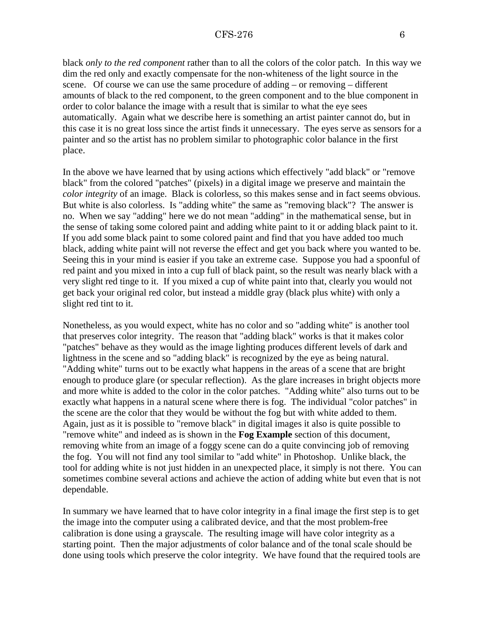black *only to the red component* rather than to all the colors of the color patch. In this way we dim the red only and exactly compensate for the non-whiteness of the light source in the scene. Of course we can use the same procedure of adding – or removing – different amounts of black to the red component, to the green component and to the blue component in order to color balance the image with a result that is similar to what the eye sees automatically. Again what we describe here is something an artist painter cannot do, but in this case it is no great loss since the artist finds it unnecessary. The eyes serve as sensors for a painter and so the artist has no problem similar to photographic color balance in the first place.

In the above we have learned that by using actions which effectively "add black" or "remove black" from the colored "patches" (pixels) in a digital image we preserve and maintain the *color integrity* of an image. Black is colorless, so this makes sense and in fact seems obvious. But white is also colorless. Is "adding white" the same as "removing black"? The answer is no. When we say "adding" here we do not mean "adding" in the mathematical sense, but in the sense of taking some colored paint and adding white paint to it or adding black paint to it. If you add some black paint to some colored paint and find that you have added too much black, adding white paint will not reverse the effect and get you back where you wanted to be. Seeing this in your mind is easier if you take an extreme case. Suppose you had a spoonful of red paint and you mixed in into a cup full of black paint, so the result was nearly black with a very slight red tinge to it. If you mixed a cup of white paint into that, clearly you would not get back your original red color, but instead a middle gray (black plus white) with only a slight red tint to it.

Nonetheless, as you would expect, white has no color and so "adding white" is another tool that preserves color integrity. The reason that "adding black" works is that it makes color "patches" behave as they would as the image lighting produces different levels of dark and lightness in the scene and so "adding black" is recognized by the eye as being natural. "Adding white" turns out to be exactly what happens in the areas of a scene that are bright enough to produce glare (or specular reflection). As the glare increases in bright objects more and more white is added to the color in the color patches. "Adding white" also turns out to be exactly what happens in a natural scene where there is fog. The individual "color patches" in the scene are the color that they would be without the fog but with white added to them. Again, just as it is possible to "remove black" in digital images it also is quite possible to "remove white" and indeed as is shown in the **[Fog Example](#page-12-0)** section of this document, removing white from an image of a foggy scene can do a quite convincing job of removing the fog. You will not find any tool similar to "add white" in Photoshop. Unlike black, the tool for adding white is not just hidden in an unexpected place, it simply is not there. You can sometimes combine several actions and achieve the action of adding white but even that is not dependable.

In summary we have learned that to have color integrity in a final image the first step is to get the image into the computer using a calibrated device, and that the most problem-free calibration is done using a grayscale. The resulting image will have color integrity as a starting point. Then the major adjustments of color balance and of the tonal scale should be done using tools which preserve the color integrity. We have found that the required tools are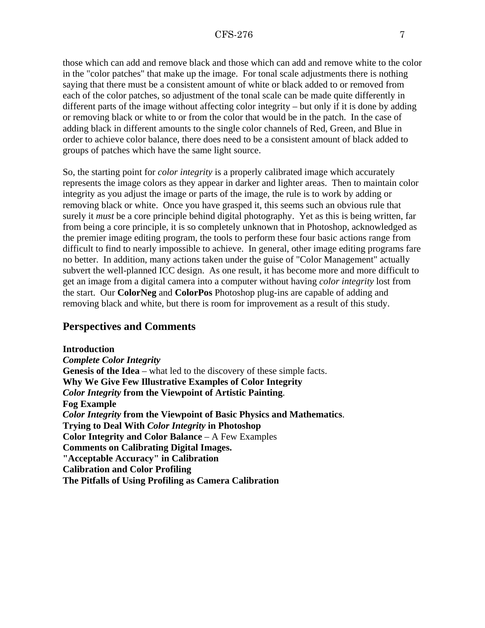<span id="page-6-0"></span>those which can add and remove black and those which can add and remove white to the color in the "color patches" that make up the image. For tonal scale adjustments there is nothing saying that there must be a consistent amount of white or black added to or removed from each of the color patches, so adjustment of the tonal scale can be made quite differently in different parts of the image without affecting color integrity – but only if it is done by adding or removing black or white to or from the color that would be in the patch. In the case of adding black in different amounts to the single color channels of Red, Green, and Blue in order to achieve color balance, there does need to be a consistent amount of black added to groups of patches which have the same light source.

So, the starting point for *color integrity* is a properly calibrated image which accurately represents the image colors as they appear in darker and lighter areas. Then to maintain color integrity as you adjust the image or parts of the image, the rule is to work by adding or removing black or white. Once you have grasped it, this seems such an obvious rule that surely it *must* be a core principle behind digital photography. Yet as this is being written, far from being a core principle, it is so completely unknown that in Photoshop, acknowledged as the premier image editing program, the tools to perform these four basic actions range from difficult to find to nearly impossible to achieve. In general, other image editing programs fare no better. In addition, many actions taken under the guise of "Color Management" actually subvert the well-planned ICC design. As one result, it has become more and more difficult to get an image from a digital camera into a computer without having *color integrity* lost from the start. Our **ColorNeg** and **ColorPos** Photoshop plug-ins are capable of adding and removing black and white, but there is room for improvement as a result of this study.

# **Perspectives and Comments**

**[Introduction](#page-2-0)** *[Complete Color Integrity](#page-3-0)* **Genesis of the Idea** [– what led to the discovery of these simple facts.](#page-7-0) **[Why We Give Few Illustrative Examples of Color Integrity](#page-8-0)** *Color Integrity* **[from the Viewpoint of Artistic Painting](#page-9-0)**. **[Fog Example](#page-12-0)** *Color Integrity* **[from the Viewpoint of Basic Physics and Mathematics](#page-14-0)**. **[Trying to Deal With](#page-18-0)** *Color Integrity* **in Photoshop [Color Integrity and Color Balance](#page-20-0)** – A Few Examples **[Comments on Calibrating Digital Images.](#page-23-0) ["Acceptable Accuracy" in Calibration](#page-24-0) [Calibration and Color Profiling](#page-26-0) [The Pitfalls of Using Profiling as Camera Calibration](#page-26-0)**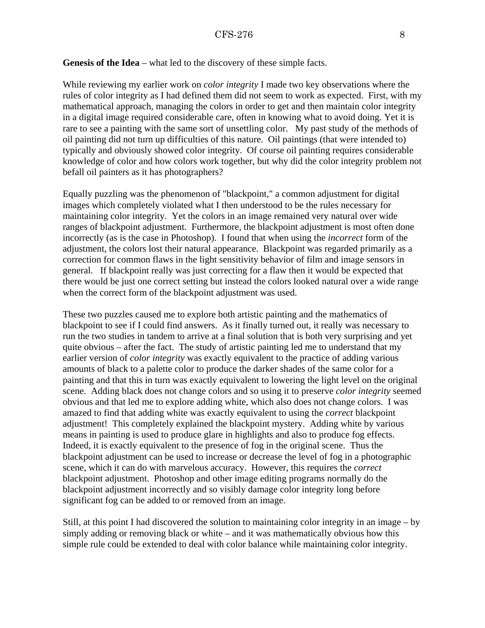<span id="page-7-0"></span>**Genesis of the Idea** – what led to the discovery of these simple facts.

While reviewing my earlier work on *color integrity* I made two key observations where the rules of color integrity as I had defined them did not seem to work as expected. First, with my mathematical approach, managing the colors in order to get and then maintain color integrity in a digital image required considerable care, often in knowing what to avoid doing. Yet it is rare to see a painting with the same sort of unsettling color. My past study of the methods of oil painting did not turn up difficulties of this nature. Oil paintings (that were intended to) typically and obviously showed color integrity. Of course oil painting requires considerable knowledge of color and how colors work together, but why did the color integrity problem not befall oil painters as it has photographers?

Equally puzzling was the phenomenon of "blackpoint," a common adjustment for digital images which completely violated what I then understood to be the rules necessary for maintaining color integrity. Yet the colors in an image remained very natural over wide ranges of blackpoint adjustment. Furthermore, the blackpoint adjustment is most often done incorrectly (as is the case in Photoshop). I found that when using the *incorrect* form of the adjustment, the colors lost their natural appearance. Blackpoint was regarded primarily as a correction for common flaws in the light sensitivity behavior of film and image sensors in general. If blackpoint really was just correcting for a flaw then it would be expected that there would be just one correct setting but instead the colors looked natural over a wide range when the correct form of the blackpoint adjustment was used.

These two puzzles caused me to explore both artistic painting and the mathematics of blackpoint to see if I could find answers. As it finally turned out, it really was necessary to run the two studies in tandem to arrive at a final solution that is both very surprising and yet quite obvious – after the fact. The study of artistic painting led me to understand that my earlier version of *color integrity* was exactly equivalent to the practice of adding various amounts of black to a palette color to produce the darker shades of the same color for a painting and that this in turn was exactly equivalent to lowering the light level on the original scene. Adding black does not change colors and so using it to preserve *color integrity* seemed obvious and that led me to explore adding white, which also does not change colors. I was amazed to find that adding white was exactly equivalent to using the *correct* blackpoint adjustment! This completely explained the blackpoint mystery. Adding white by various means in painting is used to produce glare in highlights and also to produce fog effects. Indeed, it is exactly equivalent to the presence of fog in the original scene. Thus the blackpoint adjustment can be used to increase or decrease the level of fog in a photographic scene, which it can do with marvelous accuracy. However, this requires the *correct* blackpoint adjustment. Photoshop and other image editing programs normally do the blackpoint adjustment incorrectly and so visibly damage color integrity long before significant fog can be added to or removed from an image.

Still, at this point I had discovered the solution to maintaining color integrity in an image – by simply adding or removing black or white – and it was mathematically obvious how this simple rule could be extended to deal with color balance while maintaining color integrity.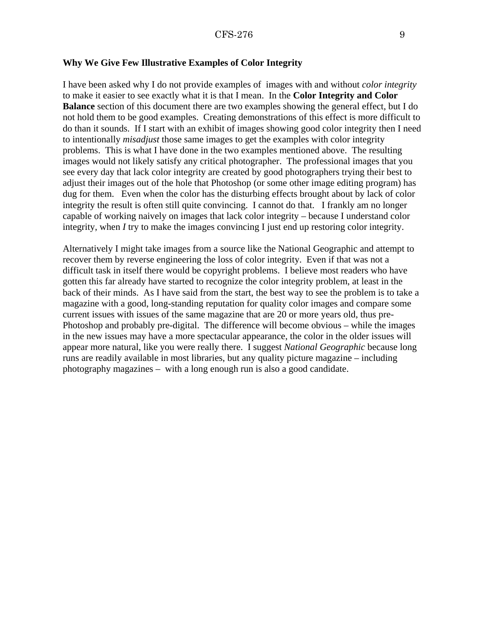#### <span id="page-8-0"></span>**Why We Give Few Illustrative Examples of Color Integrity**

I have been asked why I do not provide examples of images with and without *color integrity* to make it easier to see exactly what it is that I mean. In the **[Color Integrity and Color](#page-20-0) [Balance](#page-20-0)** section of this document there are two examples showing the general effect, but I do not hold them to be good examples. Creating demonstrations of this effect is more difficult to do than it sounds. If I start with an exhibit of images showing good color integrity then I need to intentionally *misadjust* those same images to get the examples with color integrity problems. This is what I have done in the two examples mentioned above. The resulting images would not likely satisfy any critical photographer. The professional images that you see every day that lack color integrity are created by good photographers trying their best to adjust their images out of the hole that Photoshop (or some other image editing program) has dug for them. Even when the color has the disturbing effects brought about by lack of color integrity the result is often still quite convincing. I cannot do that. I frankly am no longer capable of working naively on images that lack color integrity – because I understand color integrity, when *I* try to make the images convincing I just end up restoring color integrity.

Alternatively I might take images from a source like the National Geographic and attempt to recover them by reverse engineering the loss of color integrity. Even if that was not a difficult task in itself there would be copyright problems. I believe most readers who have gotten this far already have started to recognize the color integrity problem, at least in the back of their minds. As I have said from the start, the best way to see the problem is to take a magazine with a good, long-standing reputation for quality color images and compare some current issues with issues of the same magazine that are 20 or more years old, thus pre-Photoshop and probably pre-digital. The difference will become obvious – while the images in the new issues may have a more spectacular appearance, the color in the older issues will appear more natural, like you were really there. I suggest *National Geographic* because long runs are readily available in most libraries, but any quality picture magazine – including photography magazines – with a long enough run is also a good candidate.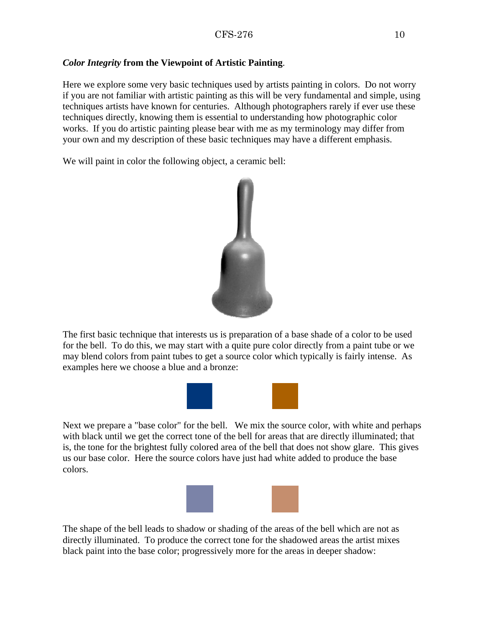## <span id="page-9-0"></span>*Color Integrity* **from the Viewpoint of Artistic Painting**.

Here we explore some very basic techniques used by artists painting in colors. Do not worry if you are not familiar with artistic painting as this will be very fundamental and simple, using techniques artists have known for centuries. Although photographers rarely if ever use these techniques directly, knowing them is essential to understanding how photographic color works. If you do artistic painting please bear with me as my terminology may differ from your own and my description of these basic techniques may have a different emphasis.

We will paint in color the following object, a ceramic bell:



The first basic technique that interests us is preparation of a base shade of a color to be used for the bell. To do this, we may start with a quite pure color directly from a paint tube or we may blend colors from paint tubes to get a source color which typically is fairly intense. As examples here we choose a blue and a bronze:



Next we prepare a "base color" for the bell. We mix the source color, with white and perhaps with black until we get the correct tone of the bell for areas that are directly illuminated; that is, the tone for the brightest fully colored area of the bell that does not show glare. This gives us our base color. Here the source colors have just had white added to produce the base colors.



The shape of the bell leads to shadow or shading of the areas of the bell which are not as directly illuminated. To produce the correct tone for the shadowed areas the artist mixes black paint into the base color; progressively more for the areas in deeper shadow: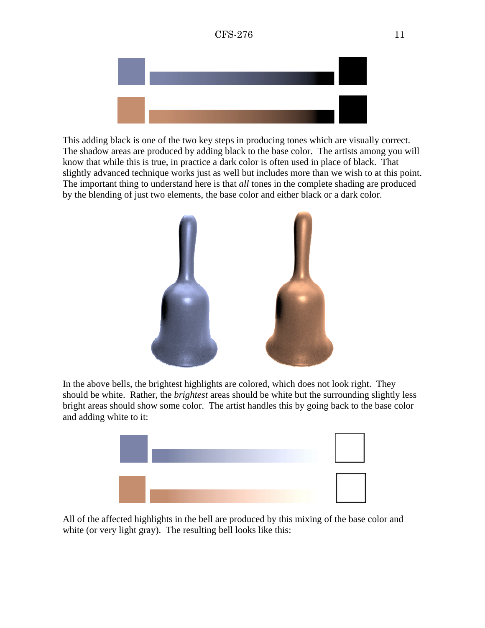

This adding black is one of the two key steps in producing tones which are visually correct. The shadow areas are produced by adding black to the base color. The artists among you will know that while this is true, in practice a dark color is often used in place of black. That slightly advanced technique works just as well but includes more than we wish to at this point. The important thing to understand here is that *all* tones in the complete shading are produced by the blending of just two elements, the base color and either black or a dark color.



In the above bells, the brightest highlights are colored, which does not look right. They should be white. Rather, the *brightest* areas should be white but the surrounding slightly less bright areas should show some color. The artist handles this by going back to the base color and adding white to it:



All of the affected highlights in the bell are produced by this mixing of the base color and white (or very light gray). The resulting bell looks like this: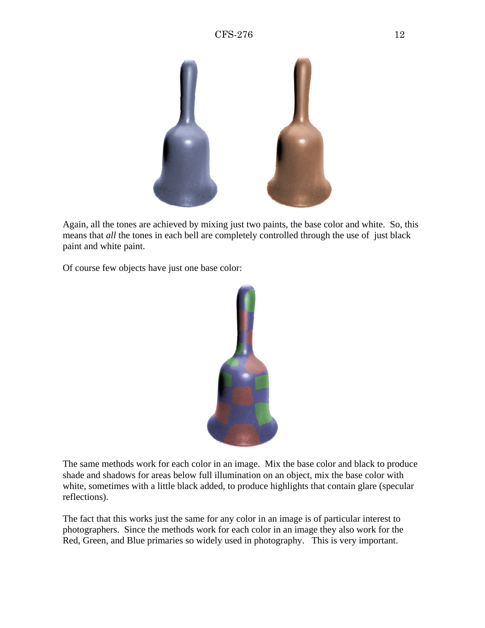

Again, all the tones are achieved by mixing just two paints, the base color and white. So, this means that *all* the tones in each bell are completely controlled through the use of just black paint and white paint.

Of course few objects have just one base color:



The same methods work for each color in an image. Mix the base color and black to produce shade and shadows for areas below full illumination on an object, mix the base color with white, sometimes with a little black added, to produce highlights that contain glare (specular reflections).

The fact that this works just the same for any color in an image is of particular interest to photographers. Since the methods work for each color in an image they also work for the Red, Green, and Blue primaries so widely used in photography. This is very important.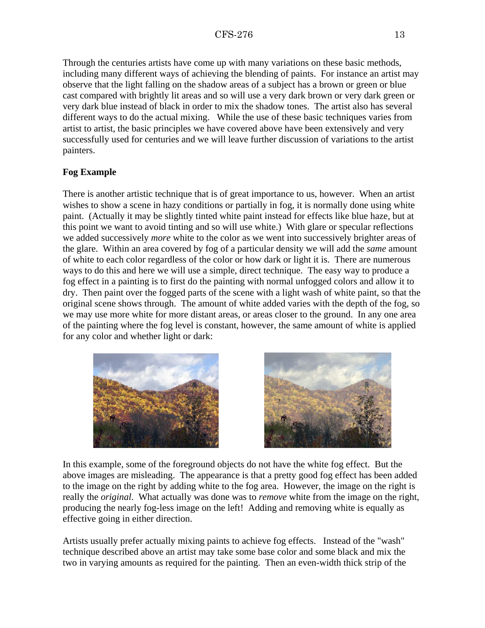<span id="page-12-0"></span>Through the centuries artists have come up with many variations on these basic methods, including many different ways of achieving the blending of paints. For instance an artist may observe that the light falling on the shadow areas of a subject has a brown or green or blue cast compared with brightly lit areas and so will use a very dark brown or very dark green or very dark blue instead of black in order to mix the shadow tones. The artist also has several different ways to do the actual mixing. While the use of these basic techniques varies from artist to artist, the basic principles we have covered above have been extensively and very successfully used for centuries and we will leave further discussion of variations to the artist painters.

# **Fog Example**

There is another artistic technique that is of great importance to us, however. When an artist wishes to show a scene in hazy conditions or partially in fog, it is normally done using white paint. (Actually it may be slightly tinted white paint instead for effects like blue haze, but at this point we want to avoid tinting and so will use white.) With glare or specular reflections we added successively *more* white to the color as we went into successively brighter areas of the glare. Within an area covered by fog of a particular density we will add the *same* amount of white to each color regardless of the color or how dark or light it is. There are numerous ways to do this and here we will use a simple, direct technique. The easy way to produce a fog effect in a painting is to first do the painting with normal unfogged colors and allow it to dry. Then paint over the fogged parts of the scene with a light wash of white paint, so that the original scene shows through. The amount of white added varies with the depth of the fog, so we may use more white for more distant areas, or areas closer to the ground. In any one area of the painting where the fog level is constant, however, the same amount of white is applied for any color and whether light or dark:





In this example, some of the foreground objects do not have the white fog effect. But the above images are misleading. The appearance is that a pretty good fog effect has been added to the image on the right by adding white to the fog area. However, the image on the right is really the *original*. What actually was done was to *remove* white from the image on the right, producing the nearly fog-less image on the left! Adding and removing white is equally as effective going in either direction.

Artists usually prefer actually mixing paints to achieve fog effects. Instead of the "wash" technique described above an artist may take some base color and some black and mix the two in varying amounts as required for the painting. Then an even-width thick strip of the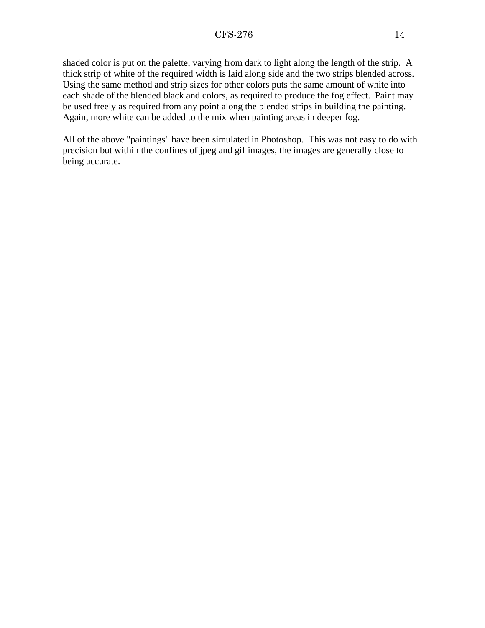shaded color is put on the palette, varying from dark to light along the length of the strip. A thick strip of white of the required width is laid along side and the two strips blended across. Using the same method and strip sizes for other colors puts the same amount of white into each shade of the blended black and colors, as required to produce the fog effect. Paint may be used freely as required from any point along the blended strips in building the painting. Again, more white can be added to the mix when painting areas in deeper fog.

All of the above "paintings" have been simulated in Photoshop. This was not easy to do with precision but within the confines of jpeg and gif images, the images are generally close to being accurate.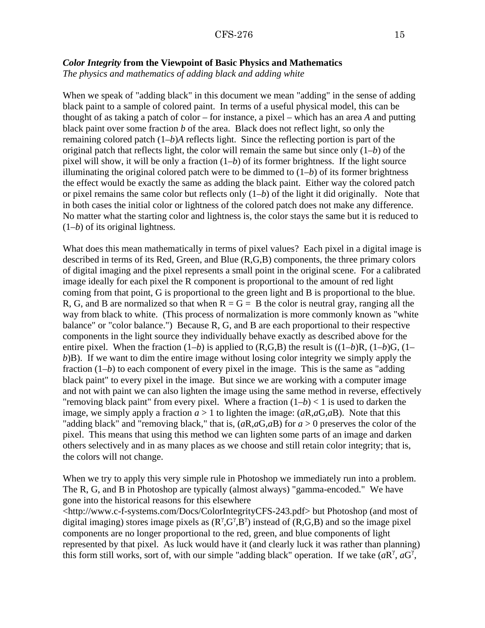#### <span id="page-14-0"></span>*Color Integrity* **from the Viewpoint of Basic Physics and Mathematics**

*The physics and mathematics of adding black and adding white*

When we speak of "adding black" in this document we mean "adding" in the sense of adding black paint to a sample of colored paint. In terms of a useful physical model, this can be thought of as taking a patch of color – for instance, a pixel – which has an area *A* and putting black paint over some fraction *b* of the area. Black does not reflect light, so only the remaining colored patch (1–*b*)*A* reflects light. Since the reflecting portion is part of the original patch that reflects light, the color will remain the same but since only (1–*b*) of the pixel will show, it will be only a fraction (1–*b*) of its former brightness. If the light source illuminating the original colored patch were to be dimmed to  $(1-b)$  of its former brightness the effect would be exactly the same as adding the black paint. Either way the colored patch or pixel remains the same color but reflects only (1–*b*) of the light it did originally. Note that in both cases the initial color or lightness of the colored patch does not make any difference. No matter what the starting color and lightness is, the color stays the same but it is reduced to (1–*b*) of its original lightness.

What does this mean mathematically in terms of pixel values? Each pixel in a digital image is described in terms of its Red, Green, and Blue (R,G,B) components, the three primary colors of digital imaging and the pixel represents a small point in the original scene. For a calibrated image ideally for each pixel the R component is proportional to the amount of red light coming from that point, G is proportional to the green light and B is proportional to the blue. R, G, and B are normalized so that when  $R = G = B$  the color is neutral gray, ranging all the way from black to white. (This process of normalization is more commonly known as "white balance" or "color balance.") Because R, G, and B are each proportional to their respective components in the light source they individually behave exactly as described above for the entire pixel. When the fraction  $(1-b)$  is applied to  $(R,G,B)$  the result is  $((1-b)R, (1-b)G, (1-a)$ *b*)B). If we want to dim the entire image without losing color integrity we simply apply the fraction  $(1–b)$  to each component of every pixel in the image. This is the same as "adding" black paint" to every pixel in the image. But since we are working with a computer image and not with paint we can also lighten the image using the same method in reverse, effectively "removing black paint" from every pixel. Where a fraction  $(1-b) < 1$  is used to darken the image, we simply apply a fraction  $a > 1$  to lighten the image:  $(aR,aG,aB)$ . Note that this "adding black" and "removing black," that is, (*a*R,*a*G,*a*B) for *a* > 0 preserves the color of the pixel. This means that using this method we can lighten some parts of an image and darken others selectively and in as many places as we choose and still retain color integrity; that is, the colors will not change.

When we try to apply this very simple rule in Photoshop we immediately run into a problem. The R, G, and B in Photoshop are typically (almost always) "gamma-encoded." We have gone into the historical reasons for this elsewhere

[<http://www.c-f-systems.com/Docs/ColorIntegrityCFS-243.pdf>](http://www.c-f-systems.com/Docs/ColorIntegrityCFS-243.pdf) but Photoshop (and most of digital imaging) stores image pixels as  $(R^{\gamma}, G^{\gamma}, B^{\gamma})$  instead of  $(R, G, B)$  and so the image pixel components are no longer proportional to the red, green, and blue components of light represented by that pixel. As luck would have it (and clearly luck it was rather than planning) this form still works, sort of, with our simple "adding black" operation. If we take  $(aR^{\gamma}, aG^{\gamma})$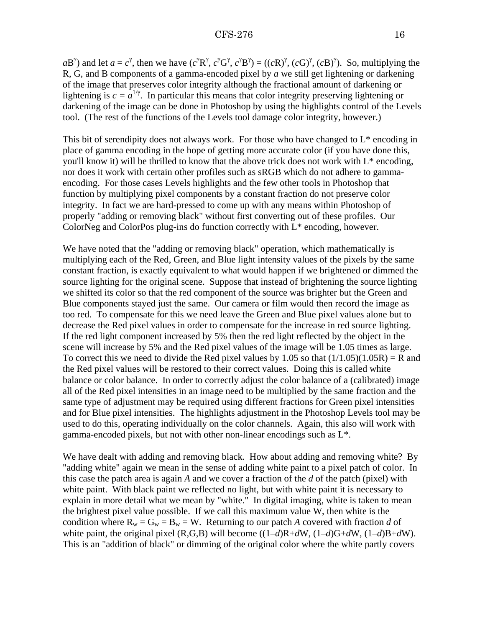$aB^{\gamma}$ ) and let  $a = c^{\gamma}$ , then we have  $(c^{\gamma}R^{\gamma}, c^{\gamma}G^{\gamma}, c^{\gamma}B^{\gamma}) = ((cR)^{\gamma}, (cG)^{\gamma}, (cB)^{\gamma})$ . So, multiplying the R, G, and B components of a gamma-encoded pixel by *a* we still get lightening or darkening of the image that preserves color integrity although the fractional amount of darkening or lightening is  $c = a^{1/\gamma}$ . In particular this means that color integrity preserving lightening or darkening of the image can be done in Photoshop by using the highlights control of the Levels tool. (The rest of the functions of the Levels tool damage color integrity, however.)

This bit of serendipity does not always work. For those who have changed to L\* encoding in place of gamma encoding in the hope of getting more accurate color (if you have done this, you'll know it) will be thrilled to know that the above trick does not work with L\* encoding, nor does it work with certain other profiles such as sRGB which do not adhere to gammaencoding. For those cases Levels highlights and the few other tools in Photoshop that function by multiplying pixel components by a constant fraction do not preserve color integrity. In fact we are hard-pressed to come up with any means within Photoshop of properly "adding or removing black" without first converting out of these profiles. Our ColorNeg and ColorPos plug-ins do function correctly with  $L^*$  encoding, however.

We have noted that the "adding or removing black" operation, which mathematically is multiplying each of the Red, Green, and Blue light intensity values of the pixels by the same constant fraction, is exactly equivalent to what would happen if we brightened or dimmed the source lighting for the original scene. Suppose that instead of brightening the source lighting we shifted its color so that the red component of the source was brighter but the Green and Blue components stayed just the same. Our camera or film would then record the image as too red. To compensate for this we need leave the Green and Blue pixel values alone but to decrease the Red pixel values in order to compensate for the increase in red source lighting. If the red light component increased by 5% then the red light reflected by the object in the scene will increase by 5% and the Red pixel values of the image will be 1.05 times as large. To correct this we need to divide the Red pixel values by 1.05 so that  $(1/1.05)(1.05R) = R$  and the Red pixel values will be restored to their correct values. Doing this is called white balance or color balance. In order to correctly adjust the color balance of a (calibrated) image all of the Red pixel intensities in an image need to be multiplied by the same fraction and the same type of adjustment may be required using different fractions for Green pixel intensities and for Blue pixel intensities. The highlights adjustment in the Photoshop Levels tool may be used to do this, operating individually on the color channels. Again, this also will work with gamma-encoded pixels, but not with other non-linear encodings such as L\*.

We have dealt with adding and removing black. How about adding and removing white? By "adding white" again we mean in the sense of adding white paint to a pixel patch of color. In this case the patch area is again *A* and we cover a fraction of the *d* of the patch (pixel) with white paint. With black paint we reflected no light, but with white paint it is necessary to explain in more detail what we mean by "white." In digital imaging, white is taken to mean the brightest pixel value possible. If we call this maximum value W, then white is the condition where  $R_w = G_w = B_w = W$ . Returning to our patch *A* covered with fraction *d* of white paint, the original pixel  $(R,\tilde{G},B)$  will become  $((1-d)R+dW, (1-d)G+dW, (1-d)B+dW)$ . This is an "addition of black" or dimming of the original color where the white partly covers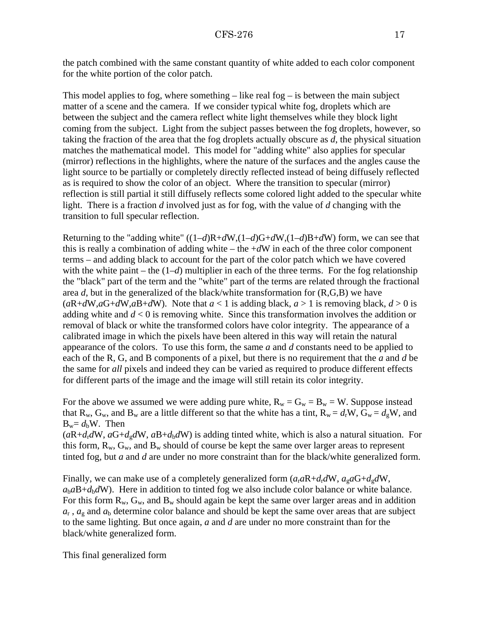the patch combined with the same constant quantity of white added to each color component for the white portion of the color patch.

This model applies to fog, where something  $-$  like real fog  $-$  is between the main subject matter of a scene and the camera. If we consider typical white fog, droplets which are between the subject and the camera reflect white light themselves while they block light coming from the subject. Light from the subject passes between the fog droplets, however, so taking the fraction of the area that the fog droplets actually obscure as *d*, the physical situation matches the mathematical model. This model for "adding white" also applies for specular (mirror) reflections in the highlights, where the nature of the surfaces and the angles cause the light source to be partially or completely directly reflected instead of being diffusely reflected as is required to show the color of an object. Where the transition to specular (mirror) reflection is still partial it still diffusely reflects some colored light added to the specular white light. There is a fraction *d* involved just as for fog, with the value of *d* changing with the transition to full specular reflection.

Returning to the "adding white" ((1–*d*)R+*d*W,(1–*d*)G+*d*W,(1–*d*)B+*d*W) form, we can see that this is really a combination of adding white – the  $+dW$  in each of the three color component terms – and adding black to account for the part of the color patch which we have covered with the white paint – the  $(1-d)$  multiplier in each of the three terms. For the fog relationship the "black" part of the term and the "white" part of the terms are related through the fractional area *d*, but in the generalized of the black/white transformation for (R,G,B) we have  $(aR+dW, aG+dW, aB+dW)$ . Note that  $a < 1$  is adding black,  $a > 1$  is removing black,  $d > 0$  is adding white and *d* < 0 is removing white. Since this transformation involves the addition or removal of black or white the transformed colors have color integrity. The appearance of a calibrated image in which the pixels have been altered in this way will retain the natural appearance of the colors. To use this form, the same *a* and *d* constants need to be applied to each of the R, G, and B components of a pixel, but there is no requirement that the *a* and *d* be the same for *all* pixels and indeed they can be varied as required to produce different effects for different parts of the image and the image will still retain its color integrity.

For the above we assumed we were adding pure white,  $R_w = G_w = B_w = W$ . Suppose instead that R<sub>w</sub>, G<sub>w</sub>, and B<sub>w</sub> are a little different so that the white has a tint, R<sub>w</sub> =  $d_f$ W, G<sub>w</sub> =  $d_g$ W, and  $B_w = d_hW$ . Then

 $(aR+d<sub>r</sub>dW, aG+d<sub>g</sub>dW, aB+d<sub>b</sub>dW)$  is adding tinted white, which is also a natural situation. For this form,  $R_w$ ,  $G_w$ , and  $B_w$  should of course be kept the same over larger areas to represent tinted fog, but *a* and *d* are under no more constraint than for the black/white generalized form.

Finally, we can make use of a completely generalized form  $(a<sub>r</sub>aR+d<sub>r</sub>dW, a<sub>s</sub>aG+d<sub>s</sub>dW,$  $a_{\rm b}a_{\rm B}+d_{\rm b}d_{\rm W}$ . Here in addition to tinted fog we also include color balance or white balance. For this form  $R_w$ ,  $G_w$ , and  $B_w$  should again be kept the same over larger areas and in addition  $a_r$ ,  $a_g$  and  $a_b$  determine color balance and should be kept the same over areas that are subject to the same lighting. But once again, *a* and *d* are under no more constraint than for the black/white generalized form.

This final generalized form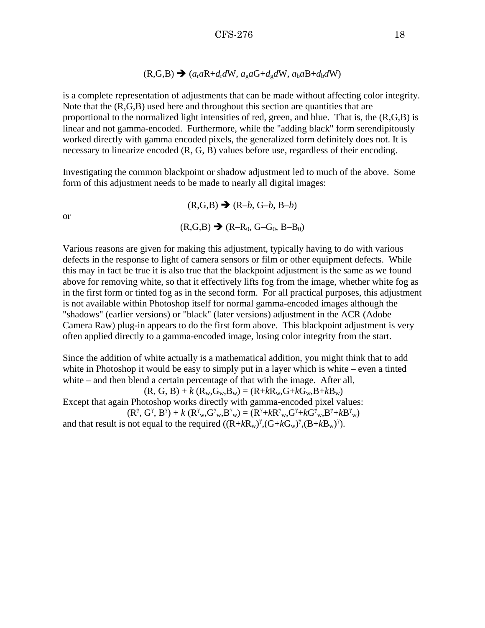$$
(R,G,B)
$$
  $\rightarrow$   $(a_r a R + d_r dW, a_g a G + d_g dW, a_b a B + d_b dW)$ 

<span id="page-17-0"></span>is a complete representation of adjustments that can be made without affecting color integrity. Note that the  $(R, G, B)$  used here and throughout this section are quantities that are proportional to the normalized light intensities of red, green, and blue. That is, the (R,G,B) is linear and not gamma-encoded. Furthermore, while the "adding black" form serendipitously worked directly with gamma encoded pixels, the generalized form definitely does not. It is necessary to linearize encoded (R, G, B) values before use, regardless of their encoding.

Investigating the common blackpoint or shadow adjustment led to much of the above. Some form of this adjustment needs to be made to nearly all digital images:

or

 $(R,G,B) \rightarrow (R–b, G–b, B–b)$  $(R, G, B) \rightarrow (R - R_0, G - G_0, B - B_0)$ 

Various reasons are given for making this adjustment, typically having to do with various defects in the response to light of camera sensors or film or other equipment defects. While this may in fact be true it is also true that the blackpoint adjustment is the same as we found above for removing white, so that it effectively lifts fog from the image, whether white fog as in the first form or tinted fog as in the second form. For all practical purposes, this adjustment is not available within Photoshop itself for normal gamma-encoded images although the "shadows" (earlier versions) or "black" (later versions) adjustment in the ACR (Adobe Camera Raw) plug-in appears to do the first form above. This blackpoint adjustment is very often applied directly to a gamma-encoded image, losing color integrity from the start.

Since the addition of white actually is a mathematical addition, you might think that to add white in Photoshop it would be easy to simply put in a layer which is white – even a tinted white – and then blend a certain percentage of that with the image. After all,

 $(R, G, B) + k (R_w, G_w, B_w) = (R + kR_w, G + kG_w, B + kB_w)$ 

Except that again Photoshop works directly with gamma-encoded pixel values:  $(R^{\gamma}, G^{\gamma}, B^{\gamma}) + k (R^{\gamma}_{w}, G^{\gamma}_{w}, B^{\gamma}_{w}) = (R^{\gamma} + kR^{\gamma}_{w}, G^{\gamma} + kG^{\gamma}_{w}, B^{\gamma} + kB^{\gamma}_{w})$ 

and that result is not equal to the required  $((R+kR_w)^{\gamma}, (G+kG_w)^{\gamma}, (B+kB_w)^{\gamma})$ .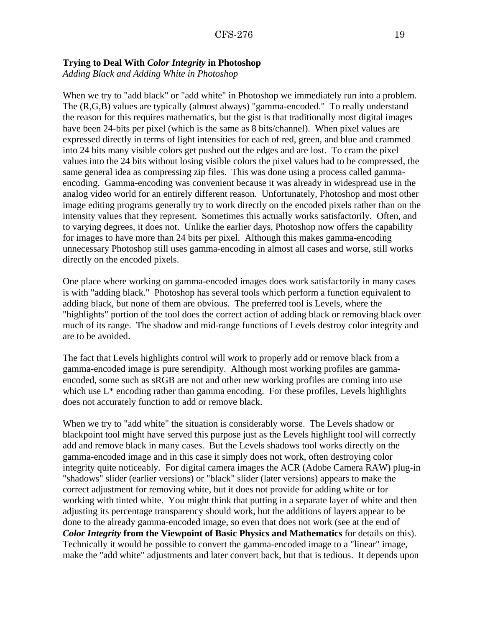## <span id="page-18-0"></span>**Trying to Deal With** *Color Integrity* **in Photoshop**

*Adding Black and Adding White in Photoshop*

When we try to "add black" or "add white" in Photoshop we immediately run into a problem. The (R,G,B) values are typically (almost always) "gamma-encoded." To really understand the reason for this requires mathematics, but the gist is that traditionally most digital images have been 24-bits per pixel (which is the same as 8 bits/channel). When pixel values are expressed directly in terms of light intensities for each of red, green, and blue and crammed into 24 bits many visible colors get pushed out the edges and are lost. To cram the pixel values into the 24 bits without losing visible colors the pixel values had to be compressed, the same general idea as compressing zip files. This was done using a process called gammaencoding. Gamma-encoding was convenient because it was already in widespread use in the analog video world for an entirely different reason. Unfortunately, Photoshop and most other image editing programs generally try to work directly on the encoded pixels rather than on the intensity values that they represent. Sometimes this actually works satisfactorily. Often, and to varying degrees, it does not. Unlike the earlier days, Photoshop now offers the capability for images to have more than 24 bits per pixel. Although this makes gamma-encoding unnecessary Photoshop still uses gamma-encoding in almost all cases and worse, still works directly on the encoded pixels.

One place where working on gamma-encoded images does work satisfactorily in many cases is with "adding black." Photoshop has several tools which perform a function equivalent to adding black, but none of them are obvious. The preferred tool is Levels, where the "highlights" portion of the tool does the correct action of adding black or removing black over much of its range. The shadow and mid-range functions of Levels destroy color integrity and are to be avoided.

The fact that Levels highlights control will work to properly add or remove black from a gamma-encoded image is pure serendipity. Although most working profiles are gammaencoded, some such as sRGB are not and other new working profiles are coming into use which use  $L^*$  encoding rather than gamma encoding. For these profiles, Levels highlights does not accurately function to add or remove black.

When we try to "add white" the situation is considerably worse. The Levels shadow or blackpoint tool might have served this purpose just as the Levels highlight tool will correctly add and remove black in many cases. But the Levels shadows tool works directly on the gamma-encoded image and in this case it simply does not work, often destroying color integrity quite noticeably. For digital camera images the ACR (Adobe Camera RAW) plug-in "shadows" slider (earlier versions) or "black" slider (later versions) appears to make the correct adjustment for removing white, but it does not provide for adding white or for working with tinted white. You might think that putting in a separate layer of white and then adjusting its percentage transparency should work, but the additions of layers appear to be done to the already gamma-encoded image, so even that does not work (see at the end of *Color Integrity* **[from the Viewpoint of Basic Physics and Mathematics](#page-17-0)** for details on this). Technically it would be possible to convert the gamma-encoded image to a "linear" image, make the "add white" adjustments and later convert back, but that is tedious. It depends upon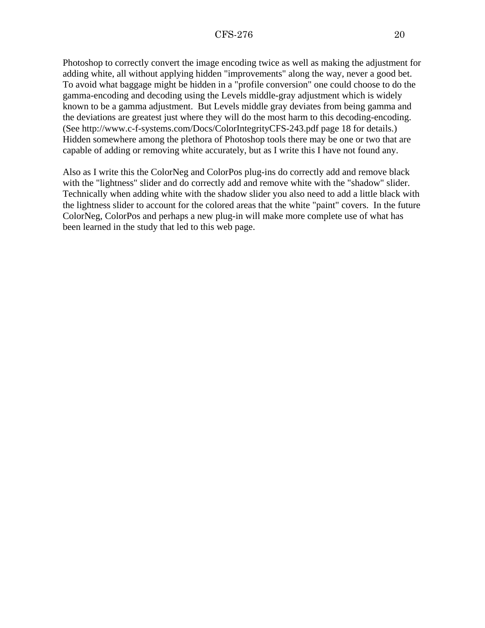Photoshop to correctly convert the image encoding twice as well as making the adjustment for adding white, all without applying hidden "improvements" along the way, never a good bet. To avoid what baggage might be hidden in a "profile conversion" one could choose to do the gamma-encoding and decoding using the Levels middle-gray adjustment which is widely known to be a gamma adjustment. But Levels middle gray deviates from being gamma and the deviations are greatest just where they will do the most harm to this decoding-encoding. (See<http://www.c-f-systems.com/Docs/ColorIntegrityCFS-243.pdf>page 18 for details.) Hidden somewhere among the plethora of Photoshop tools there may be one or two that are capable of adding or removing white accurately, but as I write this I have not found any.

Also as I write this the ColorNeg and ColorPos plug-ins do correctly add and remove black with the "lightness" slider and do correctly add and remove white with the "shadow" slider. Technically when adding white with the shadow slider you also need to add a little black with the lightness slider to account for the colored areas that the white "paint" covers. In the future ColorNeg, ColorPos and perhaps a new plug-in will make more complete use of what has been learned in the study that led to this web page.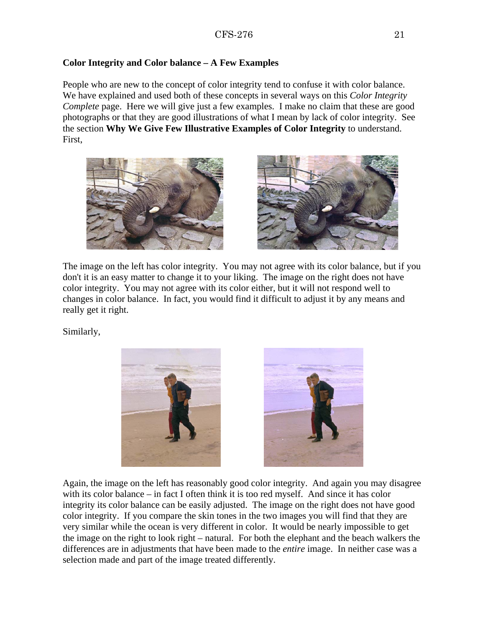## <span id="page-20-0"></span>**Color Integrity and Color balance – A Few Examples**

People who are new to the concept of color integrity tend to confuse it with color balance. We have explained and used both of these concepts in several ways on this *Color Integrity Complete* page. Here we will give just a few examples. I make no claim that these are good photographs or that they are good illustrations of what I mean by lack of color integrity. See the section **[Why We Give Few Illustrative Examples of Color Integrity](#page-8-0)** to understand. First,





The image on the left has color integrity. You may not agree with its color balance, but if you don't it is an easy matter to change it to your liking. The image on the right does not have color integrity. You may not agree with its color either, but it will not respond well to changes in color balance. In fact, you would find it difficult to adjust it by any means and really get it right.

Similarly,





Again, the image on the left has reasonably good color integrity. And again you may disagree with its color balance – in fact I often think it is too red myself. And since it has color integrity its color balance can be easily adjusted. The image on the right does not have good color integrity. If you compare the skin tones in the two images you will find that they are very similar while the ocean is very different in color. It would be nearly impossible to get the image on the right to look right – natural. For both the elephant and the beach walkers the differences are in adjustments that have been made to the *entire* image. In neither case was a selection made and part of the image treated differently.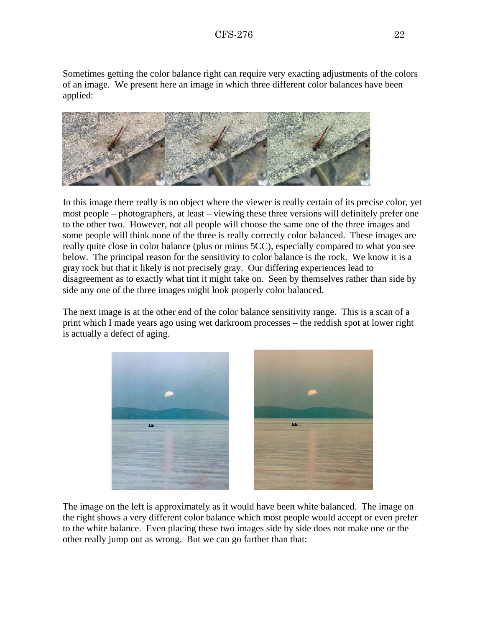Sometimes getting the color balance right can require very exacting adjustments of the colors of an image. We present here an image in which three different color balances have been applied:



In this image there really is no object where the viewer is really certain of its precise color, yet most people – photographers, at least – viewing these three versions will definitely prefer one to the other two. However, not all people will choose the same one of the three images and some people will think none of the three is really correctly color balanced. These images are really quite close in color balance (plus or minus 5CC), especially compared to what you see below. The principal reason for the sensitivity to color balance is the rock. We know it is a gray rock but that it likely is not precisely gray. Our differing experiences lead to disagreement as to exactly what tint it might take on. Seen by themselves rather than side by side any one of the three images might look properly color balanced.

The next image is at the other end of the color balance sensitivity range. This is a scan of a print which I made years ago using wet darkroom processes – the reddish spot at lower right is actually a defect of aging.



The image on the left is approximately as it would have been white balanced. The image on the right shows a very different color balance which most people would accept or even prefer to the white balance. Even placing these two images side by side does not make one or the other really jump out as wrong. But we can go farther than that: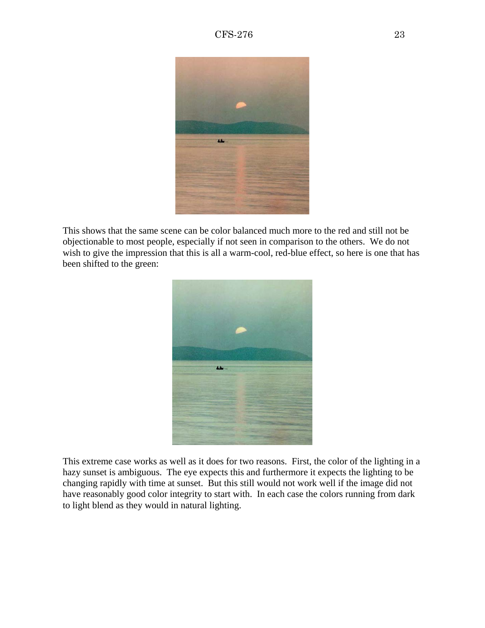

This shows that the same scene can be color balanced much more to the red and still not be objectionable to most people, especially if not seen in comparison to the others. We do not wish to give the impression that this is all a warm-cool, red-blue effect, so here is one that has been shifted to the green:



This extreme case works as well as it does for two reasons. First, the color of the lighting in a hazy sunset is ambiguous. The eye expects this and furthermore it expects the lighting to be changing rapidly with time at sunset. But this still would not work well if the image did not have reasonably good color integrity to start with. In each case the colors running from dark to light blend as they would in natural lighting.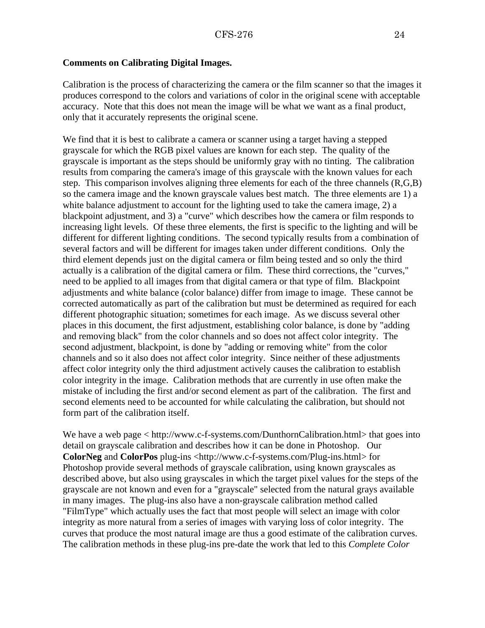#### <span id="page-23-0"></span>**Comments on Calibrating Digital Images.**

Calibration is the process of characterizing the camera or the film scanner so that the images it produces correspond to the colors and variations of color in the original scene with acceptable accuracy. Note that this does not mean the image will be what we want as a final product, only that it accurately represents the original scene.

We find that it is best to calibrate a camera or scanner using a target having a stepped grayscale for which the RGB pixel values are known for each step. The quality of the grayscale is important as the steps should be uniformly gray with no tinting. The calibration results from comparing the camera's image of this grayscale with the known values for each step. This comparison involves aligning three elements for each of the three channels (R,G,B) so the camera image and the known grayscale values best match. The three elements are 1) a white balance adjustment to account for the lighting used to take the camera image, 2) a blackpoint adjustment, and 3) a "curve" which describes how the camera or film responds to increasing light levels. Of these three elements, the first is specific to the lighting and will be different for different lighting conditions. The second typically results from a combination of several factors and will be different for images taken under different conditions. Only the third element depends just on the digital camera or film being tested and so only the third actually is a calibration of the digital camera or film. These third corrections, the "curves," need to be applied to all images from that digital camera or that type of film. Blackpoint adjustments and white balance (color balance) differ from image to image. These cannot be corrected automatically as part of the calibration but must be determined as required for each different photographic situation; sometimes for each image. As we discuss several other places in this document, the first adjustment, establishing color balance, is done by "adding and removing black" from the color channels and so does not affect color integrity. The second adjustment, blackpoint, is done by "adding or removing white" from the color channels and so it also does not affect color integrity. Since neither of these adjustments affect color integrity only the third adjustment actively causes the calibration to establish color integrity in the image. Calibration methods that are currently in use often make the mistake of including the first and/or second element as part of the calibration. The first and second elements need to be accounted for while calculating the calibration, but should not form part of the calibration itself.

We have a web page [< http://www.c-f-systems.com/DunthornCalibration.html>](http://www.c-f-systems.com/DunthornCalibration.html) that goes into detail on grayscale calibration and describes how it can be done in Photoshop. Our **ColorNeg** and **ColorPos** plug-ins [<http://www.c-f-systems.com/Plug-ins.html>](http://www.c-f-systems.com/Plug-ins.html) for Photoshop provide several methods of grayscale calibration, using known grayscales as described above, but also using grayscales in which the target pixel values for the steps of the grayscale are not known and even for a "grayscale" selected from the natural grays available in many images. The plug-ins also have a non-grayscale calibration method called "FilmType" which actually uses the fact that most people will select an image with color integrity as more natural from a series of images with varying loss of color integrity. The curves that produce the most natural image are thus a good estimate of the calibration curves. The calibration methods in these plug-ins pre-date the work that led to this *Complete Color*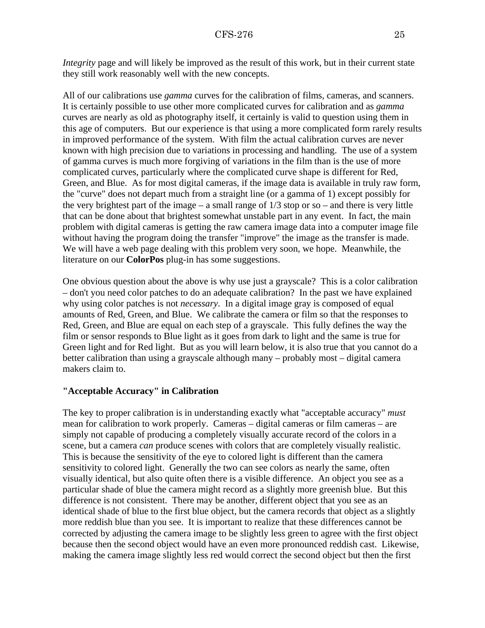<span id="page-24-0"></span>*Integrity* page and will likely be improved as the result of this work, but in their current state they still work reasonably well with the new concepts.

All of our calibrations use *gamma* curves for the calibration of films, cameras, and scanners. It is certainly possible to use other more complicated curves for calibration and as *gamma* curves are nearly as old as photography itself, it certainly is valid to question using them in this age of computers. But our experience is that using a more complicated form rarely results in improved performance of the system. With film the actual calibration curves are never known with high precision due to variations in processing and handling. The use of a system of gamma curves is much more forgiving of variations in the film than is the use of more complicated curves, particularly where the complicated curve shape is different for Red, Green, and Blue. As for most digital cameras, if the image data is available in truly raw form, the "curve" does not depart much from a straight line (or a gamma of 1) except possibly for the very brightest part of the image – a small range of  $1/3$  stop or so – and there is very little that can be done about that brightest somewhat unstable part in any event. In fact, the main problem with digital cameras is getting the raw camera image data into a computer image file without having the program doing the transfer "improve" the image as the transfer is made. We will have a web page dealing with this problem very soon, we hope. Meanwhile, the literature on our **ColorPos** plug-in has some suggestions.

One obvious question about the above is why use just a grayscale? This is a color calibration – don't you need color patches to do an adequate calibration? In the past we have explained why using color patches is not *necessary*. In a digital image gray is composed of equal amounts of Red, Green, and Blue. We calibrate the camera or film so that the responses to Red, Green, and Blue are equal on each step of a grayscale. This fully defines the way the film or sensor responds to Blue light as it goes from dark to light and the same is true for Green light and for Red light. But as you will learn below, it is also true that you cannot do a better calibration than using a grayscale although many – probably most – digital camera makers claim to.

#### **"Acceptable Accuracy" in Calibration**

The key to proper calibration is in understanding exactly what "acceptable accuracy" *must* mean for calibration to work properly. Cameras – digital cameras or film cameras – are simply not capable of producing a completely visually accurate record of the colors in a scene, but a camera *can* produce scenes with colors that are completely visually realistic. This is because the sensitivity of the eye to colored light is different than the camera sensitivity to colored light. Generally the two can see colors as nearly the same, often visually identical, but also quite often there is a visible difference. An object you see as a particular shade of blue the camera might record as a slightly more greenish blue. But this difference is not consistent. There may be another, different object that you see as an identical shade of blue to the first blue object, but the camera records that object as a slightly more reddish blue than you see. It is important to realize that these differences cannot be corrected by adjusting the camera image to be slightly less green to agree with the first object because then the second object would have an even more pronounced reddish cast. Likewise, making the camera image slightly less red would correct the second object but then the first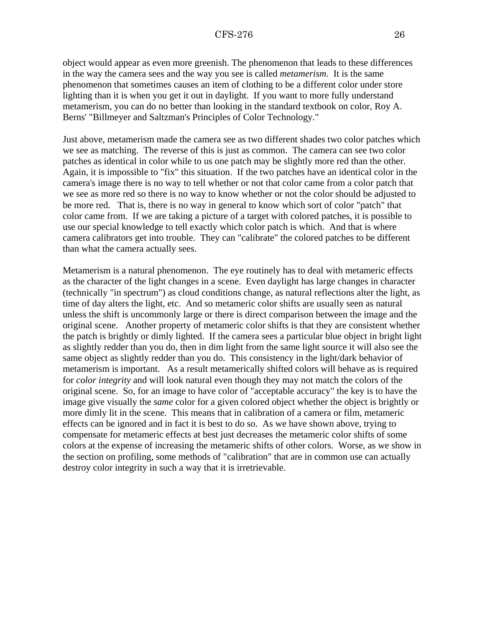object would appear as even more greenish. The phenomenon that leads to these differences in the way the camera sees and the way you see is called *metamerism*. It is the same phenomenon that sometimes causes an item of clothing to be a different color under store lighting than it is when you get it out in daylight. If you want to more fully understand metamerism, you can do no better than looking in the standard textbook on color, Roy A. Berns' "Billmeyer and Saltzman's Principles of Color Technology."

Just above, metamerism made the camera see as two different shades two color patches which we see as matching. The reverse of this is just as common. The camera can see two color patches as identical in color while to us one patch may be slightly more red than the other. Again, it is impossible to "fix" this situation. If the two patches have an identical color in the camera's image there is no way to tell whether or not that color came from a color patch that we see as more red so there is no way to know whether or not the color should be adjusted to be more red. That is, there is no way in general to know which sort of color "patch" that color came from. If we are taking a picture of a target with colored patches, it is possible to use our special knowledge to tell exactly which color patch is which. And that is where camera calibrators get into trouble. They can "calibrate" the colored patches to be different than what the camera actually sees.

Metamerism is a natural phenomenon. The eye routinely has to deal with metameric effects as the character of the light changes in a scene. Even daylight has large changes in character (technically "in spectrum") as cloud conditions change, as natural reflections alter the light, as time of day alters the light, etc. And so metameric color shifts are usually seen as natural unless the shift is uncommonly large or there is direct comparison between the image and the original scene. Another property of metameric color shifts is that they are consistent whether the patch is brightly or dimly lighted. If the camera sees a particular blue object in bright light as slightly redder than you do, then in dim light from the same light source it will also see the same object as slightly redder than you do. This consistency in the light/dark behavior of metamerism is important. As a result metamerically shifted colors will behave as is required for *color integrity* and will look natural even though they may not match the colors of the original scene. So, for an image to have color of "acceptable accuracy" the key is to have the image give visually the *same* color for a given colored object whether the object is brightly or more dimly lit in the scene. This means that in calibration of a camera or film, metameric effects can be ignored and in fact it is best to do so. As we have shown above, trying to compensate for metameric effects at best just decreases the metameric color shifts of some colors at the expense of increasing the metameric shifts of other colors. Worse, as we show in the section on profiling, some methods of "calibration" that are in common use can actually destroy color integrity in such a way that it is irretrievable.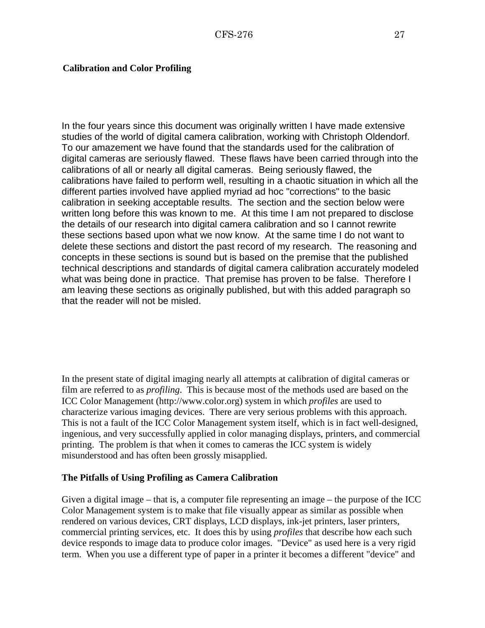#### <span id="page-26-0"></span>**Calibration and Color Profiling**

In the four years since this document was originally written I have made extensive studies of the world of digital camera calibration, working with Christoph Oldendorf. To our amazement we have found that the standards used for the calibration of digital cameras are seriously flawed. These flaws have been carried through into the calibrations of all or nearly all digital cameras. Being seriously flawed, the calibrations have failed to perform well, resulting in a chaotic situation in which all the different parties involved have applied myriad ad hoc "corrections" to the basic calibration in seeking acceptable results. The section and the section below were written long before this was known to me. At this time I am not prepared to disclose the details of our research into digital camera calibration and so I cannot rewrite these sections based upon what we now know. At the same time I do not want to delete these sections and distort the past record of my research. The reasoning and concepts in these sections is sound but is based on the premise that the published technical descriptions and standards of digital camera calibration accurately modeled what was being done in practice. That premise has proven to be false. Therefore I am leaving these sections as originally published, but with this added paragraph so that the reader will not be misled.

In the present state of digital imaging nearly all attempts at calibration of digital cameras or film are referred to as *profiling*. This is because most of the methods used are based on the ICC Color Management (http://www.color.org) system in which *profiles* are used to characterize various imaging devices. There are very serious problems with this approach. This is not a fault of the ICC Color Management system itself, which is in fact well-designed, ingenious, and very successfully applied in color managing displays, printers, and commercial printing. The problem is that when it comes to cameras the ICC system is widely misunderstood and has often been grossly misapplied.

#### **The Pitfalls of Using Profiling as Camera Calibration**

Given a digital image – that is, a computer file representing an image – the purpose of the ICC Color Management system is to make that file visually appear as similar as possible when rendered on various devices, CRT displays, LCD displays, ink-jet printers, laser printers, commercial printing services, etc. It does this by using *profiles* that describe how each such device responds to image data to produce color images. "Device" as used here is a very rigid term. When you use a different type of paper in a printer it becomes a different "device" and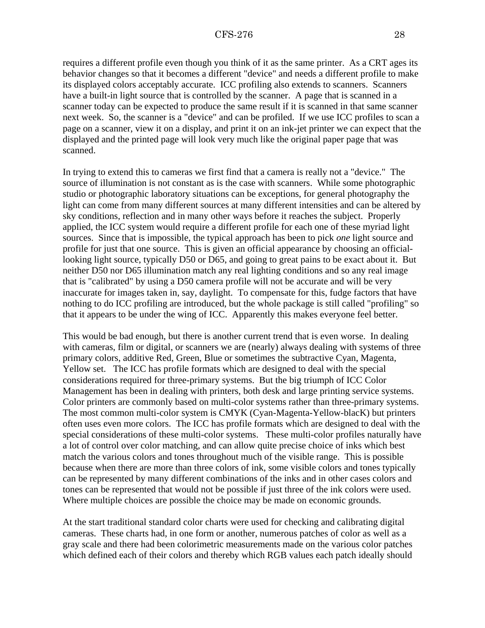requires a different profile even though you think of it as the same printer. As a CRT ages its behavior changes so that it becomes a different "device" and needs a different profile to make its displayed colors acceptably accurate. ICC profiling also extends to scanners. Scanners have a built-in light source that is controlled by the scanner. A page that is scanned in a scanner today can be expected to produce the same result if it is scanned in that same scanner next week. So, the scanner is a "device" and can be profiled. If we use ICC profiles to scan a page on a scanner, view it on a display, and print it on an ink-jet printer we can expect that the displayed and the printed page will look very much like the original paper page that was scanned.

In trying to extend this to cameras we first find that a camera is really not a "device." The source of illumination is not constant as is the case with scanners. While some photographic studio or photographic laboratory situations can be exceptions, for general photography the light can come from many different sources at many different intensities and can be altered by sky conditions, reflection and in many other ways before it reaches the subject. Properly applied, the ICC system would require a different profile for each one of these myriad light sources. Since that is impossible, the typical approach has been to pick *one* light source and profile for just that one source. This is given an official appearance by choosing an officiallooking light source, typically D50 or D65, and going to great pains to be exact about it. But neither D50 nor D65 illumination match any real lighting conditions and so any real image that is "calibrated" by using a D50 camera profile will not be accurate and will be very inaccurate for images taken in, say, daylight. To compensate for this, fudge factors that have nothing to do ICC profiling are introduced, but the whole package is still called "profiling" so that it appears to be under the wing of ICC. Apparently this makes everyone feel better.

This would be bad enough, but there is another current trend that is even worse. In dealing with cameras, film or digital, or scanners we are (nearly) always dealing with systems of three primary colors, additive Red, Green, Blue or sometimes the subtractive Cyan, Magenta, Yellow set. The ICC has profile formats which are designed to deal with the special considerations required for three-primary systems. But the big triumph of ICC Color Management has been in dealing with printers, both desk and large printing service systems. Color printers are commonly based on multi-color systems rather than three-primary systems. The most common multi-color system is CMYK (Cyan-Magenta-Yellow-blacK) but printers often uses even more colors. The ICC has profile formats which are designed to deal with the special considerations of these multi-color systems. These multi-color profiles naturally have a lot of control over color matching, and can allow quite precise choice of inks which best match the various colors and tones throughout much of the visible range. This is possible because when there are more than three colors of ink, some visible colors and tones typically can be represented by many different combinations of the inks and in other cases colors and tones can be represented that would not be possible if just three of the ink colors were used. Where multiple choices are possible the choice may be made on economic grounds.

At the start traditional standard color charts were used for checking and calibrating digital cameras. These charts had, in one form or another, numerous patches of color as well as a gray scale and there had been colorimetric measurements made on the various color patches which defined each of their colors and thereby which RGB values each patch ideally should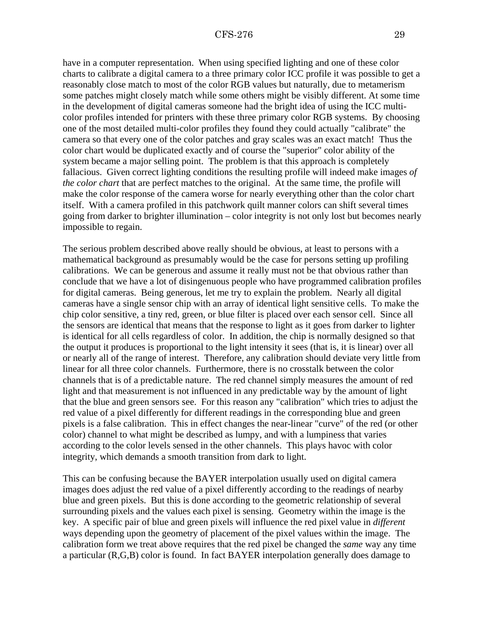have in a computer representation. When using specified lighting and one of these color charts to calibrate a digital camera to a three primary color ICC profile it was possible to get a reasonably close match to most of the color RGB values but naturally, due to metamerism some patches might closely match while some others might be visibly different. At some time in the development of digital cameras someone had the bright idea of using the ICC multicolor profiles intended for printers with these three primary color RGB systems. By choosing one of the most detailed multi-color profiles they found they could actually "calibrate" the camera so that every one of the color patches and gray scales was an exact match! Thus the color chart would be duplicated exactly and of course the "superior" color ability of the system became a major selling point. The problem is that this approach is completely fallacious. Given correct lighting conditions the resulting profile will indeed make images *of the color chart* that are perfect matches to the original. At the same time, the profile will make the color response of the camera worse for nearly everything other than the color chart itself. With a camera profiled in this patchwork quilt manner colors can shift several times going from darker to brighter illumination – color integrity is not only lost but becomes nearly impossible to regain.

The serious problem described above really should be obvious, at least to persons with a mathematical background as presumably would be the case for persons setting up profiling calibrations. We can be generous and assume it really must not be that obvious rather than conclude that we have a lot of disingenuous people who have programmed calibration profiles for digital cameras. Being generous, let me try to explain the problem. Nearly all digital cameras have a single sensor chip with an array of identical light sensitive cells. To make the chip color sensitive, a tiny red, green, or blue filter is placed over each sensor cell. Since all the sensors are identical that means that the response to light as it goes from darker to lighter is identical for all cells regardless of color. In addition, the chip is normally designed so that the output it produces is proportional to the light intensity it sees (that is, it is linear) over all or nearly all of the range of interest. Therefore, any calibration should deviate very little from linear for all three color channels. Furthermore, there is no crosstalk between the color channels that is of a predictable nature. The red channel simply measures the amount of red light and that measurement is not influenced in any predictable way by the amount of light that the blue and green sensors see. For this reason any "calibration" which tries to adjust the red value of a pixel differently for different readings in the corresponding blue and green pixels is a false calibration. This in effect changes the near-linear "curve" of the red (or other color) channel to what might be described as lumpy, and with a lumpiness that varies according to the color levels sensed in the other channels. This plays havoc with color integrity, which demands a smooth transition from dark to light.

This can be confusing because the BAYER interpolation usually used on digital camera images does a[djust the red value of a pixel differently according to the readings o](http://www.c-f-systems.com/Docs/ColorNegativeFAQ.html#CM)f nearby blue and green pixels. But this is done according to the geometric relationship of several surrounding pixels and the values each pixel is sensing. Geometry within the image is the key. A specific pair of blue and green pixels will influence the red pixel value in *different* ways depending upon the geometry of placement of the pixel values within the image. The calibration form we treat above requires that the red pixel be changed the *same* way any time a particular (R,G,B) color is found. In fact BAYER interpolation generally does damage to